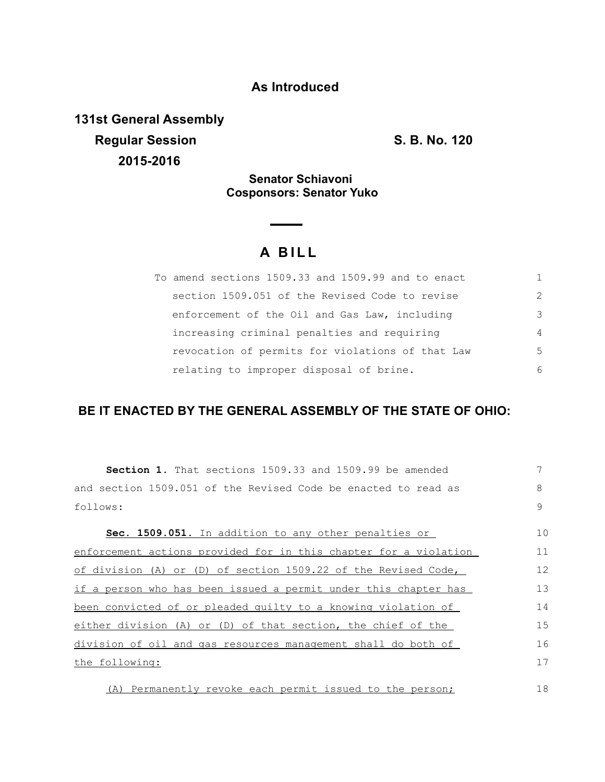## **As Introduced**

**131st General Assembly Regular Session S. B. No. 120 2015-2016**

### **Senator Schiavoni Cosponsors: Senator Yuko**

# **A BILL**

| To amend sections 1509.33 and 1509.99 and to enact |               |
|----------------------------------------------------|---------------|
| section 1509.051 of the Revised Code to revise     | $\mathcal{P}$ |
| enforcement of the Oil and Gas Law, including      | $\mathcal{E}$ |
| increasing criminal penalties and requiring        | 4             |
| revocation of permits for violations of that Law   | .5            |
| relating to improper disposal of brine.            | 6             |

# **BE IT ENACTED BY THE GENERAL ASSEMBLY OF THE STATE OF OHIO:**

| <b>Section 1.</b> That sections 1509.33 and 1509.99 be amended   |    |
|------------------------------------------------------------------|----|
| and section 1509.051 of the Revised Code be enacted to read as   | 8  |
| follows:                                                         | 9  |
| Sec. 1509.051. In addition to any other penalties or             | 10 |
| enforcement actions provided for in this chapter for a violation | 11 |
| of division (A) or (D) of section $1509.22$ of the Revised Code, | 12 |
| if a person who has been issued a permit under this chapter has  | 13 |
| been convicted of or pleaded quilty to a knowing violation of    | 14 |
| either division (A) or (D) of that section, the chief of the     | 15 |
| division of oil and gas resources management shall do both of    | 16 |
| the following:                                                   | 17 |
| (A) Permanently revoke each permit issued to the person;         | 18 |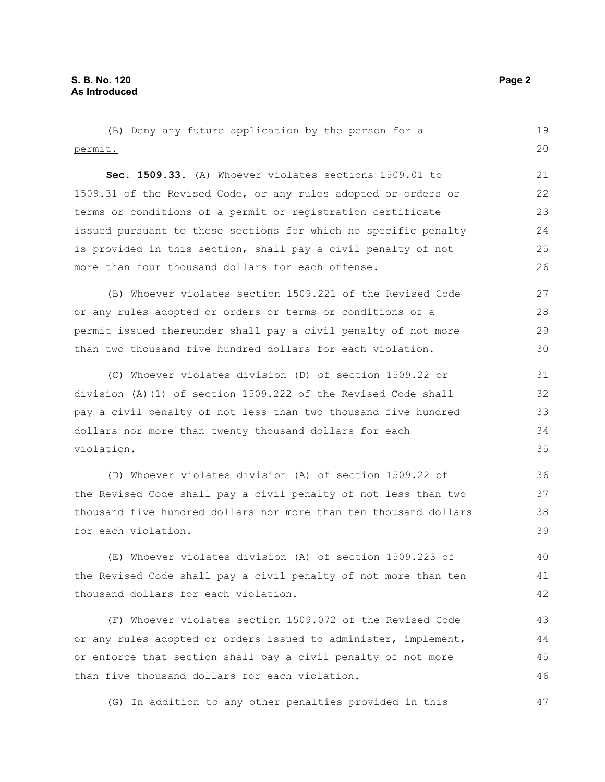| (B) Deny any future application by the person for a              | 19 |  |
|------------------------------------------------------------------|----|--|
| permit.                                                          | 20 |  |
| Sec. 1509.33. (A) Whoever violates sections 1509.01 to           | 21 |  |
| 1509.31 of the Revised Code, or any rules adopted or orders or   | 22 |  |
| terms or conditions of a permit or registration certificate      | 23 |  |
| issued pursuant to these sections for which no specific penalty  | 24 |  |
| is provided in this section, shall pay a civil penalty of not    | 25 |  |
| more than four thousand dollars for each offense.                | 26 |  |
| (B) Whoever violates section 1509.221 of the Revised Code        | 27 |  |
| or any rules adopted or orders or terms or conditions of a       | 28 |  |
| permit issued thereunder shall pay a civil penalty of not more   | 29 |  |
| than two thousand five hundred dollars for each violation.       | 30 |  |
| (C) Whoever violates division (D) of section 1509.22 or          | 31 |  |
| division (A)(1) of section 1509.222 of the Revised Code shall    | 32 |  |
| pay a civil penalty of not less than two thousand five hundred   |    |  |
| dollars nor more than twenty thousand dollars for each           |    |  |
| violation.                                                       | 35 |  |
| (D) Whoever violates division (A) of section 1509.22 of          | 36 |  |
| the Revised Code shall pay a civil penalty of not less than two  | 37 |  |
| thousand five hundred dollars nor more than ten thousand dollars | 38 |  |
| for each violation.                                              | 39 |  |
| (E) Whoever violates division (A) of section 1509.223 of         | 40 |  |
| the Revised Code shall pay a civil penalty of not more than ten  | 41 |  |
| thousand dollars for each violation.                             | 42 |  |
| (F) Whoever violates section 1509.072 of the Revised Code        | 43 |  |
| or any rules adopted or orders issued to administer, implement,  | 44 |  |
| or enforce that section shall pay a civil penalty of not more    | 45 |  |
| than five thousand dollars for each violation.                   |    |  |

(G) In addition to any other penalties provided in this

47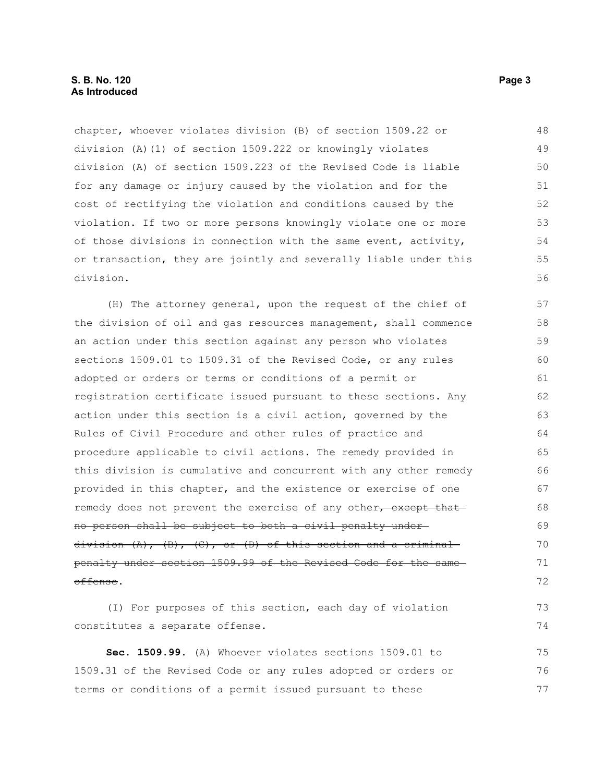chapter, whoever violates division (B) of section 1509.22 or division (A)(1) of section 1509.222 or knowingly violates division (A) of section 1509.223 of the Revised Code is liable for any damage or injury caused by the violation and for the cost of rectifying the violation and conditions caused by the violation. If two or more persons knowingly violate one or more of those divisions in connection with the same event, activity, or transaction, they are jointly and severally liable under this division. 48 49 50 51 52 53 54 55 56

(H) The attorney general, upon the request of the chief of the division of oil and gas resources management, shall commence an action under this section against any person who violates sections 1509.01 to 1509.31 of the Revised Code, or any rules adopted or orders or terms or conditions of a permit or registration certificate issued pursuant to these sections. Any action under this section is a civil action, governed by the Rules of Civil Procedure and other rules of practice and procedure applicable to civil actions. The remedy provided in this division is cumulative and concurrent with any other remedy provided in this chapter, and the existence or exercise of one remedy does not prevent the exercise of any other, except that no person shall be subject to both a civil penalty under division  $(A)$ ,  $(B)$ ,  $(C)$ , or  $(D)$  of this section and a criminal penalty under section 1509.99 of the Revised Code for the same offense. 57 58 59 60 61 62 63 64 65 66 67 68 69 70 71 72

(I) For purposes of this section, each day of violation constitutes a separate offense. 73 74

**Sec. 1509.99.** (A) Whoever violates sections 1509.01 to 1509.31 of the Revised Code or any rules adopted or orders or terms or conditions of a permit issued pursuant to these 75 76 77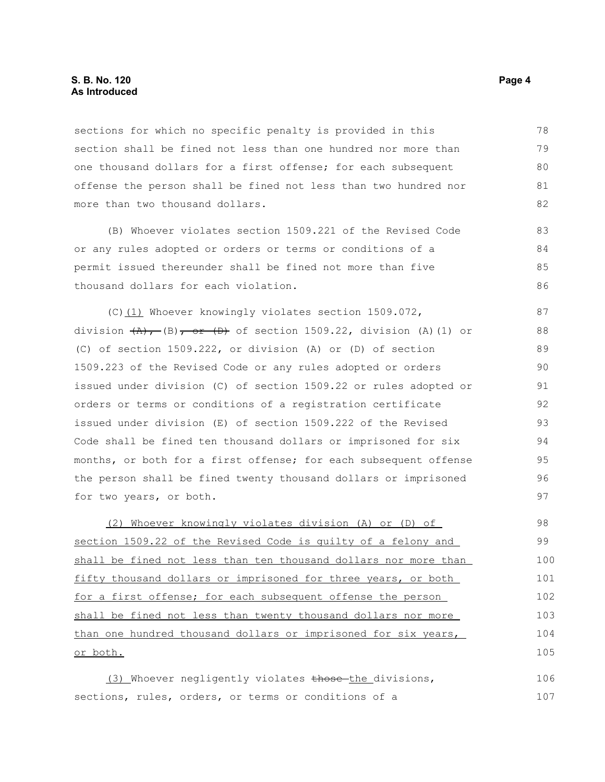#### **S. B. No. 120 Page 4 As Introduced**

sections for which no specific penalty is provided in this section shall be fined not less than one hundred nor more than one thousand dollars for a first offense; for each subsequent offense the person shall be fined not less than two hundred nor more than two thousand dollars. 78 79 80 81 82

(B) Whoever violates section 1509.221 of the Revised Code or any rules adopted or orders or terms or conditions of a permit issued thereunder shall be fined not more than five thousand dollars for each violation. 83 84 85 86

(C)(1) Whoever knowingly violates section 1509.072, division  $(A)$ , (B), or (D) of section 1509.22, division (A)(1) or (C) of section 1509.222, or division (A) or (D) of section 1509.223 of the Revised Code or any rules adopted or orders issued under division (C) of section 1509.22 or rules adopted or orders or terms or conditions of a registration certificate issued under division (E) of section 1509.222 of the Revised Code shall be fined ten thousand dollars or imprisoned for six months, or both for a first offense; for each subsequent offense the person shall be fined twenty thousand dollars or imprisoned for two years, or both. 87 88 89 90 91 92 93 94 95 96 97

 (2) Whoever knowingly violates division (A) or (D) of section 1509.22 of the Revised Code is guilty of a felony and shall be fined not less than ten thousand dollars nor more than fifty thousand dollars or imprisoned for three years, or both for a first offense; for each subsequent offense the person shall be fined not less than twenty thousand dollars nor more than one hundred thousand dollars or imprisoned for six years, or both. 98 99 100 101 102 103 104 105

(3) Whoever negligently violates those-the divisions, sections, rules, orders, or terms or conditions of a 106 107